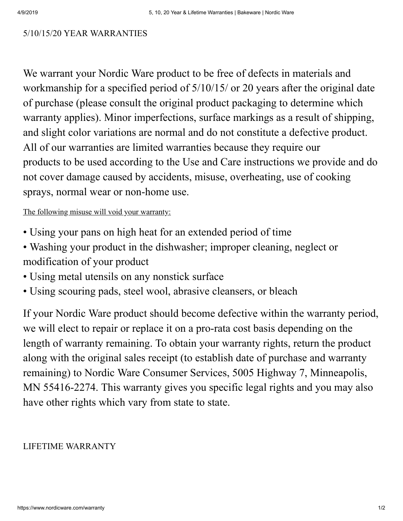## 5/10/15/20 YEAR WARRANTIES

We warrant your Nordic Ware product to be free of defects in materials and workmanship for a specified period of 5/10/15/ or 20 years after the original date of purchase (please consult the original product packaging to determine which warranty applies). Minor imperfections, surface markings as a result of shipping, and slight color variations are normal and do not constitute a defective product. All of our warranties are limited warranties because they require our products to be used according to the Use and Care instructions we provide and do not cover damage caused by accidents, misuse, overheating, use of cooking sprays, normal wear or non-home use.

## The following misuse will void your warranty:

- Using your pans on high heat for an extended period of time
- Washing your product in the dishwasher; improper cleaning, neglect or modification of your product
- Using metal utensils on any nonstick surface
- Using scouring pads, steel wool, abrasive cleansers, or bleach

If your Nordic Ware product should become defective within the warranty period, we will elect to repair or replace it on a pro-rata cost basis depending on the length of warranty remaining. To obtain your warranty rights, return the product along with the original sales receipt (to establish date of purchase and warranty remaining) to Nordic Ware Consumer Services, 5005 Highway 7, Minneapolis, MN 55416-2274. This warranty gives you specific legal rights and you may also have other rights which vary from state to state.

## LIFETIME WARRANTY